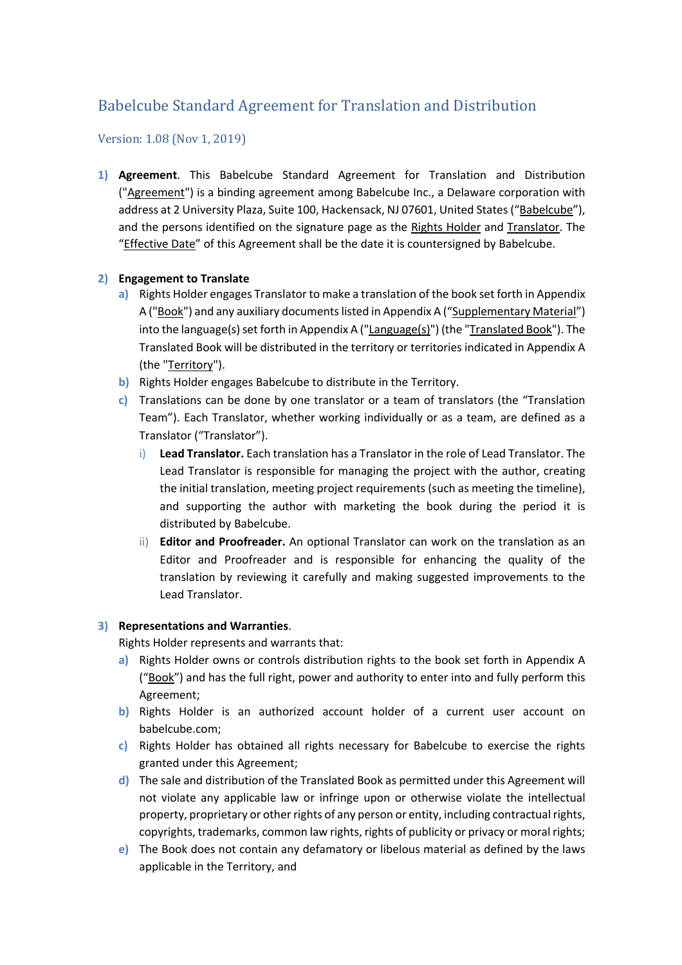# Babelcube Standard Agreement for Translation and Distribution

# Version: 1.08 (Nov 1, 2019)

**1) Agreement**. This Babelcube Standard Agreement for Translation and Distribution ("Agreement") is a binding agreement among Babelcube Inc., a Delaware corporation with address at 2 University Plaza, Suite 100, Hackensack, NJ 07601, United States ("Babelcube"), and the persons identified on the signature page as the Rights Holder and Translator. The "Effective Date" of this Agreement shall be the date it is countersigned by Babelcube.

# **2) Engagement to Translate**

- **a)** Rights Holder engages Translator to make a translation of the book set forth in Appendix A ("Book") and any auxiliary documents listed in Appendix A ("Supplementary Material") into the language(s) set forth in Appendix A (" $\text{Language}(s)$ ") (the "Translated Book"). The Translated Book will be distributed in the territory or territories indicated in Appendix A (the "Territory").
- **b)** Rights Holder engages Babelcube to distribute in the Territory.
- **c)** Translations can be done by one translator or a team of translators (the "Translation Team"). Each Translator, whether working individually or as a team, are defined as a Translator ("Translator").
	- i) **Lead Translator.** Each translation has a Translator in the role of Lead Translator. The Lead Translator is responsible for managing the project with the author, creating the initial translation, meeting project requirements (such as meeting the timeline), and supporting the author with marketing the book during the period it is distributed by Babelcube.
	- ii) **Editor and Proofreader.** An optional Translator can work on the translation as an Editor and Proofreader and is responsible for enhancing the quality of the translation by reviewing it carefully and making suggested improvements to the Lead Translator.

## **3) Representations and Warranties**.

Rights Holder represents and warrants that:

- **a)** Rights Holder owns or controls distribution rights to the book set forth in Appendix A ("Book") and has the full right, power and authority to enter into and fully perform this Agreement;
- **b)** Rights Holder is an authorized account holder of a current user account on babelcube.com;
- **c)** Rights Holder has obtained all rights necessary for Babelcube to exercise the rights granted under this Agreement;
- **d)** The sale and distribution of the Translated Book as permitted under this Agreement will not violate any applicable law or infringe upon or otherwise violate the intellectual property, proprietary or other rights of any person or entity, including contractual rights, copyrights, trademarks, common law rights, rights of publicity or privacy or moral rights;
- **e)** The Book does not contain any defamatory or libelous material as defined by the laws applicable in the Territory, and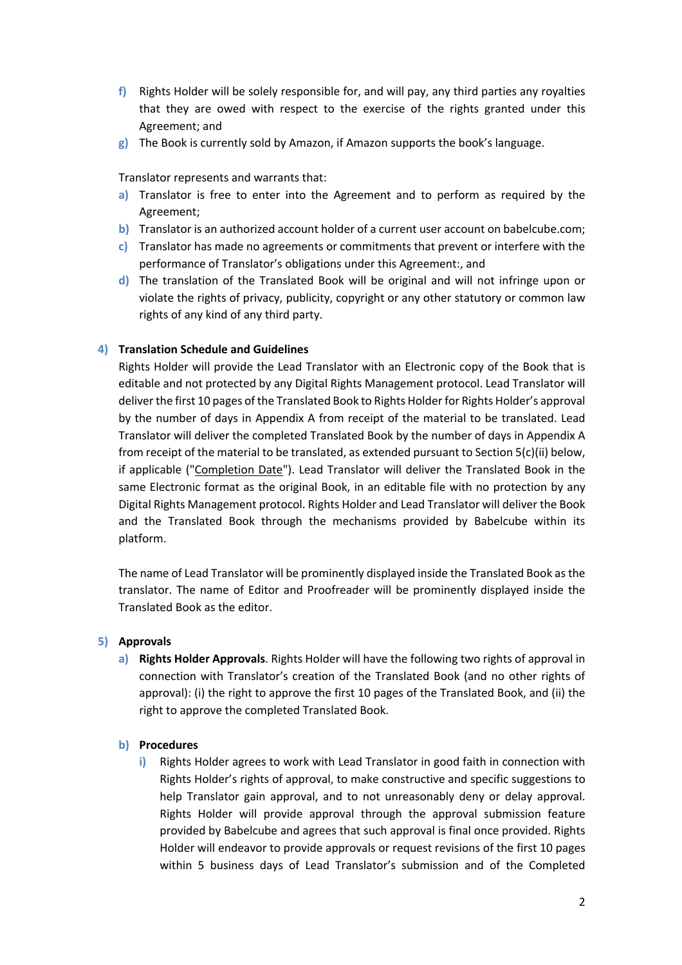- **f)** Rights Holder will be solely responsible for, and will pay, any third parties any royalties that they are owed with respect to the exercise of the rights granted under this Agreement; and
- **g)** The Book is currently sold by Amazon, if Amazon supports the book's language.

Translator represents and warrants that:

- **a)** Translator is free to enter into the Agreement and to perform as required by the Agreement;
- **b)** Translator is an authorized account holder of a current user account on babelcube.com;
- **c)** Translator has made no agreements or commitments that prevent or interfere with the performance of Translator's obligations under this Agreement:, and
- **d)** The translation of the Translated Book will be original and will not infringe upon or violate the rights of privacy, publicity, copyright or any other statutory or common law rights of any kind of any third party.

# **4) Translation Schedule and Guidelines**

Rights Holder will provide the Lead Translator with an Electronic copy of the Book that is editable and not protected by any Digital Rights Management protocol. Lead Translator will deliver the first 10 pages of the Translated Book to Rights Holder for Rights Holder's approval by the number of days in Appendix A from receipt of the material to be translated. Lead Translator will deliver the completed Translated Book by the number of days in Appendix A from receipt of the material to be translated, as extended pursuant to Section 5(c)(ii) below, if applicable ("Completion Date"). Lead Translator will deliver the Translated Book in the same Electronic format as the original Book, in an editable file with no protection by any Digital Rights Management protocol. Rights Holder and Lead Translator will deliver the Book and the Translated Book through the mechanisms provided by Babelcube within its platform.

The name of Lead Translator will be prominently displayed inside the Translated Book as the translator. The name of Editor and Proofreader will be prominently displayed inside the Translated Book as the editor.

## **5) Approvals**

**a) Rights Holder Approvals**. Rights Holder will have the following two rights of approval in connection with Translator's creation of the Translated Book (and no other rights of approval): (i) the right to approve the first 10 pages of the Translated Book, and (ii) the right to approve the completed Translated Book.

## **b) Procedures**

**i)** Rights Holder agrees to work with Lead Translator in good faith in connection with Rights Holder's rights of approval, to make constructive and specific suggestions to help Translator gain approval, and to not unreasonably deny or delay approval. Rights Holder will provide approval through the approval submission feature provided by Babelcube and agrees that such approval is final once provided. Rights Holder will endeavor to provide approvals or request revisions of the first 10 pages within 5 business days of Lead Translator's submission and of the Completed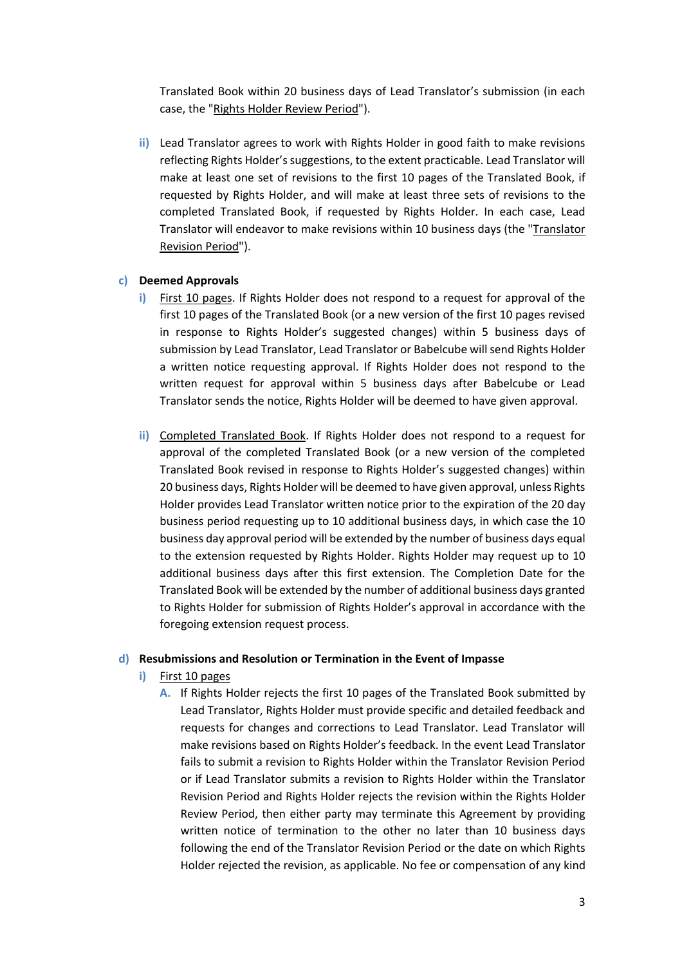Translated Book within 20 business days of Lead Translator's submission (in each case, the "Rights Holder Review Period").

**ii)** Lead Translator agrees to work with Rights Holder in good faith to make revisions reflecting Rights Holder's suggestions, to the extent practicable. Lead Translator will make at least one set of revisions to the first 10 pages of the Translated Book, if requested by Rights Holder, and will make at least three sets of revisions to the completed Translated Book, if requested by Rights Holder. In each case, Lead Translator will endeavor to make revisions within 10 business days (the "Translator Revision Period").

## **c) Deemed Approvals**

- **i)** First 10 pages. If Rights Holder does not respond to a request for approval of the first 10 pages of the Translated Book (or a new version of the first 10 pages revised in response to Rights Holder's suggested changes) within 5 business days of submission by Lead Translator, Lead Translator or Babelcube will send Rights Holder a written notice requesting approval. If Rights Holder does not respond to the written request for approval within 5 business days after Babelcube or Lead Translator sends the notice, Rights Holder will be deemed to have given approval.
- **ii)** Completed Translated Book. If Rights Holder does not respond to a request for approval of the completed Translated Book (or a new version of the completed Translated Book revised in response to Rights Holder's suggested changes) within 20 business days, Rights Holder will be deemed to have given approval, unless Rights Holder provides Lead Translator written notice prior to the expiration of the 20 day business period requesting up to 10 additional business days, in which case the 10 business day approval period will be extended by the number of business days equal to the extension requested by Rights Holder. Rights Holder may request up to 10 additional business days after this first extension. The Completion Date for the Translated Book will be extended by the number of additional business days granted to Rights Holder for submission of Rights Holder's approval in accordance with the foregoing extension request process.

#### **d) Resubmissions and Resolution or Termination in the Event of Impasse**

- **i)** First 10 pages
	- **A.** If Rights Holder rejects the first 10 pages of the Translated Book submitted by Lead Translator, Rights Holder must provide specific and detailed feedback and requests for changes and corrections to Lead Translator. Lead Translator will make revisions based on Rights Holder's feedback. In the event Lead Translator fails to submit a revision to Rights Holder within the Translator Revision Period or if Lead Translator submits a revision to Rights Holder within the Translator Revision Period and Rights Holder rejects the revision within the Rights Holder Review Period, then either party may terminate this Agreement by providing written notice of termination to the other no later than 10 business days following the end of the Translator Revision Period or the date on which Rights Holder rejected the revision, as applicable. No fee or compensation of any kind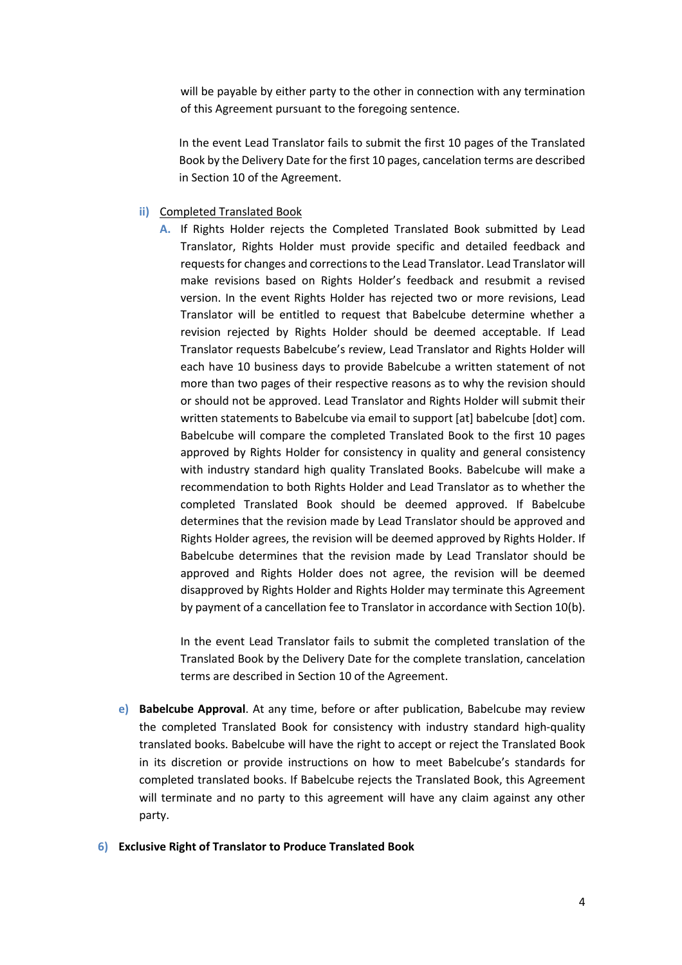will be payable by either party to the other in connection with any termination of this Agreement pursuant to the foregoing sentence.

In the event Lead Translator fails to submit the first 10 pages of the Translated Book by the Delivery Date for the first 10 pages, cancelation terms are described in Section 10 of the Agreement.

#### **ii)** Completed Translated Book

**A.** If Rights Holder rejects the Completed Translated Book submitted by Lead Translator, Rights Holder must provide specific and detailed feedback and requests for changes and corrections to the Lead Translator. Lead Translator will make revisions based on Rights Holder's feedback and resubmit a revised version. In the event Rights Holder has rejected two or more revisions, Lead Translator will be entitled to request that Babelcube determine whether a revision rejected by Rights Holder should be deemed acceptable. If Lead Translator requests Babelcube's review, Lead Translator and Rights Holder will each have 10 business days to provide Babelcube a written statement of not more than two pages of their respective reasons as to why the revision should or should not be approved. Lead Translator and Rights Holder will submit their written statements to Babelcube via email to support [at] babelcube [dot] com. Babelcube will compare the completed Translated Book to the first 10 pages approved by Rights Holder for consistency in quality and general consistency with industry standard high quality Translated Books. Babelcube will make a recommendation to both Rights Holder and Lead Translator as to whether the completed Translated Book should be deemed approved. If Babelcube determines that the revision made by Lead Translator should be approved and Rights Holder agrees, the revision will be deemed approved by Rights Holder. If Babelcube determines that the revision made by Lead Translator should be approved and Rights Holder does not agree, the revision will be deemed disapproved by Rights Holder and Rights Holder may terminate this Agreement by payment of a cancellation fee to Translator in accordance with Section 10(b).

In the event Lead Translator fails to submit the completed translation of the Translated Book by the Delivery Date for the complete translation, cancelation terms are described in Section 10 of the Agreement.

**e) Babelcube Approval**. At any time, before or after publication, Babelcube may review the completed Translated Book for consistency with industry standard high-quality translated books. Babelcube will have the right to accept or reject the Translated Book in its discretion or provide instructions on how to meet Babelcube's standards for completed translated books. If Babelcube rejects the Translated Book, this Agreement will terminate and no party to this agreement will have any claim against any other party.

#### **6) Exclusive Right of Translator to Produce Translated Book**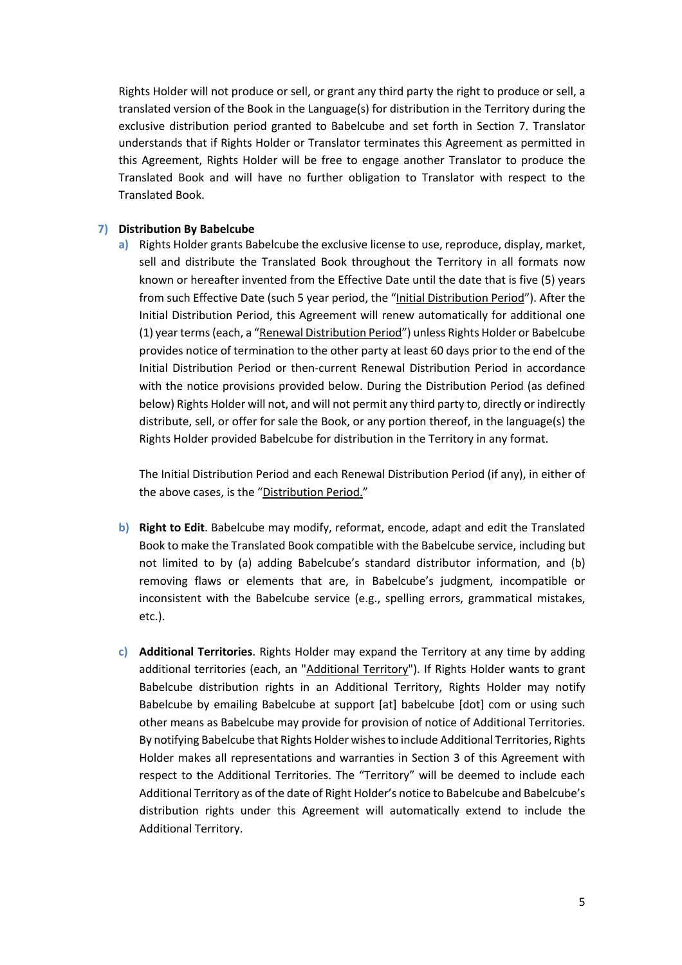Rights Holder will not produce or sell, or grant any third party the right to produce or sell, a translated version of the Book in the Language(s) for distribution in the Territory during the exclusive distribution period granted to Babelcube and set forth in Section 7. Translator understands that if Rights Holder or Translator terminates this Agreement as permitted in this Agreement, Rights Holder will be free to engage another Translator to produce the Translated Book and will have no further obligation to Translator with respect to the Translated Book.

## **7) Distribution By Babelcube**

**a)** Rights Holder grants Babelcube the exclusive license to use, reproduce, display, market, sell and distribute the Translated Book throughout the Territory in all formats now known or hereafter invented from the Effective Date until the date that is five (5) years from such Effective Date (such 5 year period, the "Initial Distribution Period"). After the Initial Distribution Period, this Agreement will renew automatically for additional one (1) year terms (each, a "Renewal Distribution Period") unless Rights Holder or Babelcube provides notice of termination to the other party at least 60 days prior to the end of the Initial Distribution Period or then-current Renewal Distribution Period in accordance with the notice provisions provided below. During the Distribution Period (as defined below) Rights Holder will not, and will not permit any third party to, directly or indirectly distribute, sell, or offer for sale the Book, or any portion thereof, in the language(s) the Rights Holder provided Babelcube for distribution in the Territory in any format.

The Initial Distribution Period and each Renewal Distribution Period (if any), in either of the above cases, is the "Distribution Period."

- **b) Right to Edit**. Babelcube may modify, reformat, encode, adapt and edit the Translated Book to make the Translated Book compatible with the Babelcube service, including but not limited to by (a) adding Babelcube's standard distributor information, and (b) removing flaws or elements that are, in Babelcube's judgment, incompatible or inconsistent with the Babelcube service (e.g., spelling errors, grammatical mistakes, etc.).
- **c) Additional Territories**. Rights Holder may expand the Territory at any time by adding additional territories (each, an "Additional Territory"). If Rights Holder wants to grant Babelcube distribution rights in an Additional Territory, Rights Holder may notify Babelcube by emailing Babelcube at support [at] babelcube [dot] com or using such other means as Babelcube may provide for provision of notice of Additional Territories. By notifying Babelcube that Rights Holder wishes to include Additional Territories, Rights Holder makes all representations and warranties in Section 3 of this Agreement with respect to the Additional Territories. The "Territory" will be deemed to include each Additional Territory as of the date of Right Holder's notice to Babelcube and Babelcube's distribution rights under this Agreement will automatically extend to include the Additional Territory.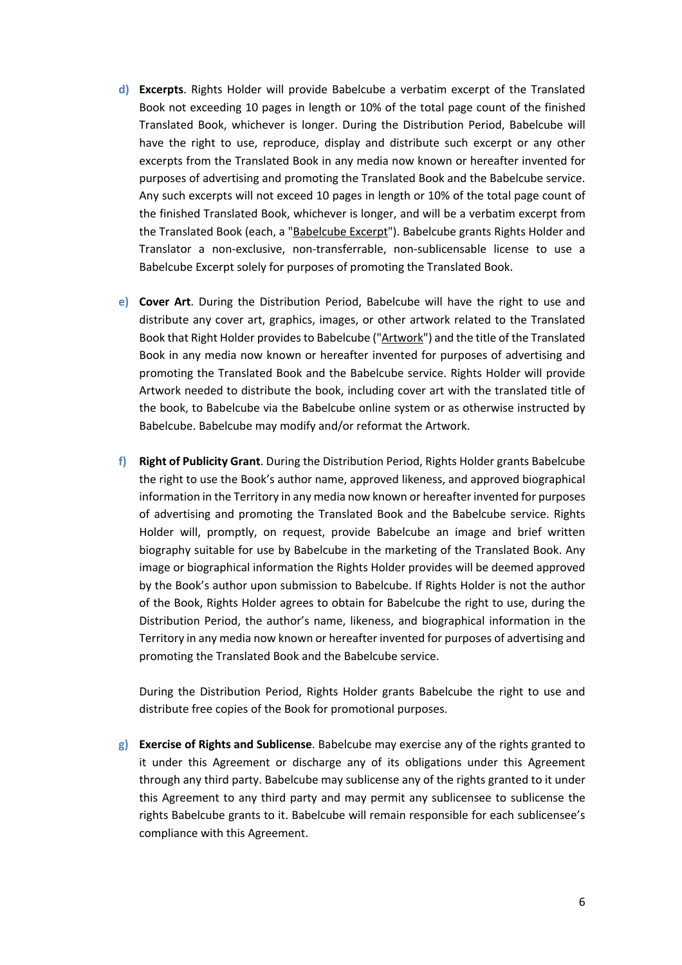- **d) Excerpts**. Rights Holder will provide Babelcube a verbatim excerpt of the Translated Book not exceeding 10 pages in length or 10% of the total page count of the finished Translated Book, whichever is longer. During the Distribution Period, Babelcube will have the right to use, reproduce, display and distribute such excerpt or any other excerpts from the Translated Book in any media now known or hereafter invented for purposes of advertising and promoting the Translated Book and the Babelcube service. Any such excerpts will not exceed 10 pages in length or 10% of the total page count of the finished Translated Book, whichever is longer, and will be a verbatim excerpt from the Translated Book (each, a "Babelcube Excerpt"). Babelcube grants Rights Holder and Translator a non-exclusive, non-transferrable, non-sublicensable license to use a Babelcube Excerpt solely for purposes of promoting the Translated Book.
- **e) Cover Art**. During the Distribution Period, Babelcube will have the right to use and distribute any cover art, graphics, images, or other artwork related to the Translated Book that Right Holder provides to Babelcube ("Artwork") and the title of the Translated Book in any media now known or hereafter invented for purposes of advertising and promoting the Translated Book and the Babelcube service. Rights Holder will provide Artwork needed to distribute the book, including cover art with the translated title of the book, to Babelcube via the Babelcube online system or as otherwise instructed by Babelcube. Babelcube may modify and/or reformat the Artwork.
- **f) Right of Publicity Grant**. During the Distribution Period, Rights Holder grants Babelcube the right to use the Book's author name, approved likeness, and approved biographical information in the Territory in any media now known or hereafter invented for purposes of advertising and promoting the Translated Book and the Babelcube service. Rights Holder will, promptly, on request, provide Babelcube an image and brief written biography suitable for use by Babelcube in the marketing of the Translated Book. Any image or biographical information the Rights Holder provides will be deemed approved by the Book's author upon submission to Babelcube. If Rights Holder is not the author of the Book, Rights Holder agrees to obtain for Babelcube the right to use, during the Distribution Period, the author's name, likeness, and biographical information in the Territory in any media now known or hereafter invented for purposes of advertising and promoting the Translated Book and the Babelcube service.

During the Distribution Period, Rights Holder grants Babelcube the right to use and distribute free copies of the Book for promotional purposes.

**g) Exercise of Rights and Sublicense**. Babelcube may exercise any of the rights granted to it under this Agreement or discharge any of its obligations under this Agreement through any third party. Babelcube may sublicense any of the rights granted to it under this Agreement to any third party and may permit any sublicensee to sublicense the rights Babelcube grants to it. Babelcube will remain responsible for each sublicensee's compliance with this Agreement.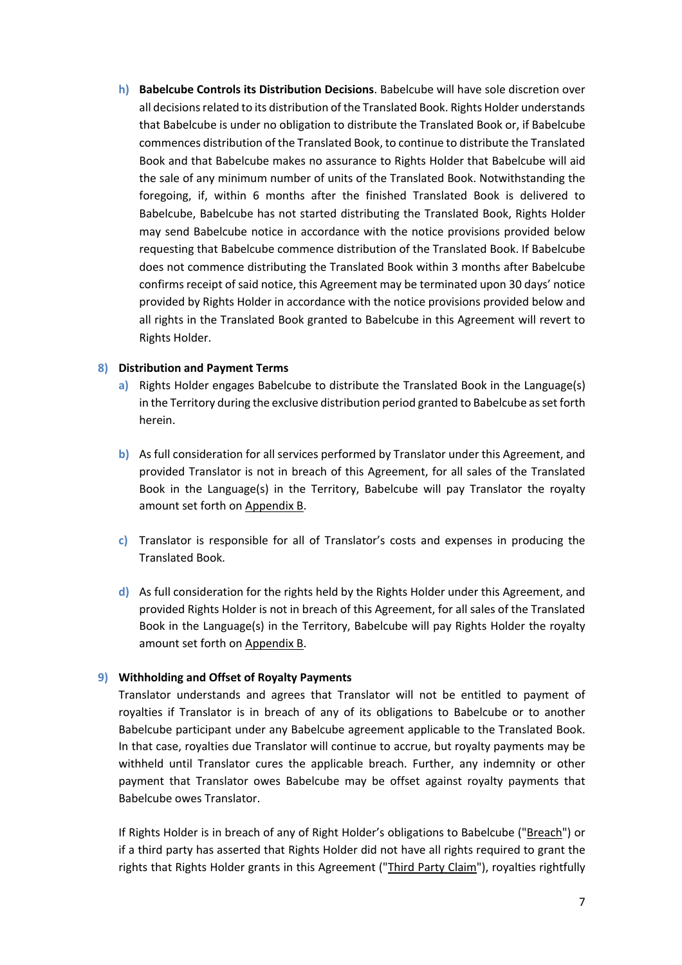**h) Babelcube Controls its Distribution Decisions**. Babelcube will have sole discretion over all decisions related to its distribution of the Translated Book. Rights Holder understands that Babelcube is under no obligation to distribute the Translated Book or, if Babelcube commences distribution of the Translated Book, to continue to distribute the Translated Book and that Babelcube makes no assurance to Rights Holder that Babelcube will aid the sale of any minimum number of units of the Translated Book. Notwithstanding the foregoing, if, within 6 months after the finished Translated Book is delivered to Babelcube, Babelcube has not started distributing the Translated Book, Rights Holder may send Babelcube notice in accordance with the notice provisions provided below requesting that Babelcube commence distribution of the Translated Book. If Babelcube does not commence distributing the Translated Book within 3 months after Babelcube confirms receipt of said notice, this Agreement may be terminated upon 30 days' notice provided by Rights Holder in accordance with the notice provisions provided below and all rights in the Translated Book granted to Babelcube in this Agreement will revert to Rights Holder.

# **8) Distribution and Payment Terms**

- **a)** Rights Holder engages Babelcube to distribute the Translated Book in the Language(s) in the Territory during the exclusive distribution period granted to Babelcube as set forth herein.
- **b)** As full consideration for all services performed by Translator under this Agreement, and provided Translator is not in breach of this Agreement, for all sales of the Translated Book in the Language(s) in the Territory, Babelcube will pay Translator the royalty amount set forth on Appendix B.
- **c)** Translator is responsible for all of Translator's costs and expenses in producing the Translated Book.
- **d)** As full consideration for the rights held by the Rights Holder under this Agreement, and provided Rights Holder is not in breach of this Agreement, for all sales of the Translated Book in the Language(s) in the Territory, Babelcube will pay Rights Holder the royalty amount set forth on Appendix B.

# **9) Withholding and Offset of Royalty Payments**

Translator understands and agrees that Translator will not be entitled to payment of royalties if Translator is in breach of any of its obligations to Babelcube or to another Babelcube participant under any Babelcube agreement applicable to the Translated Book. In that case, royalties due Translator will continue to accrue, but royalty payments may be withheld until Translator cures the applicable breach. Further, any indemnity or other payment that Translator owes Babelcube may be offset against royalty payments that Babelcube owes Translator.

If Rights Holder is in breach of any of Right Holder's obligations to Babelcube ("Breach") or if a third party has asserted that Rights Holder did not have all rights required to grant the rights that Rights Holder grants in this Agreement ("Third Party Claim"), royalties rightfully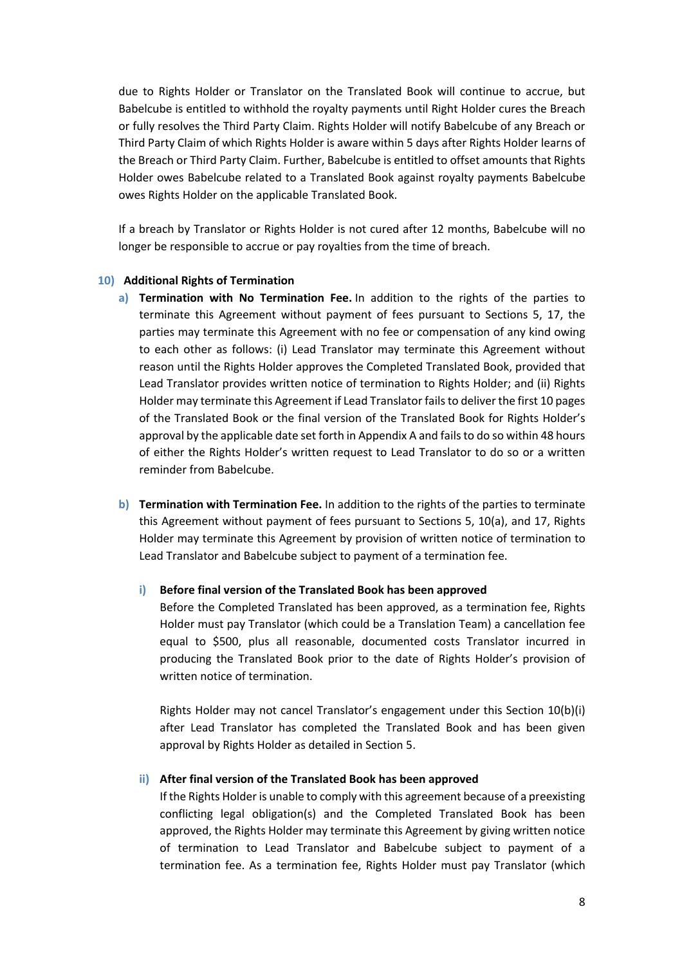due to Rights Holder or Translator on the Translated Book will continue to accrue, but Babelcube is entitled to withhold the royalty payments until Right Holder cures the Breach or fully resolves the Third Party Claim. Rights Holder will notify Babelcube of any Breach or Third Party Claim of which Rights Holder is aware within 5 days after Rights Holder learns of the Breach or Third Party Claim. Further, Babelcube is entitled to offset amounts that Rights Holder owes Babelcube related to a Translated Book against royalty payments Babelcube owes Rights Holder on the applicable Translated Book.

If a breach by Translator or Rights Holder is not cured after 12 months, Babelcube will no longer be responsible to accrue or pay royalties from the time of breach.

### **10) Additional Rights of Termination**

- **a) Termination with No Termination Fee.** In addition to the rights of the parties to terminate this Agreement without payment of fees pursuant to Sections 5, 17, the parties may terminate this Agreement with no fee or compensation of any kind owing to each other as follows: (i) Lead Translator may terminate this Agreement without reason until the Rights Holder approves the Completed Translated Book, provided that Lead Translator provides written notice of termination to Rights Holder; and (ii) Rights Holder may terminate this Agreement if Lead Translator fails to deliver the first 10 pages of the Translated Book or the final version of the Translated Book for Rights Holder's approval by the applicable date set forth in Appendix A and fails to do so within 48 hours of either the Rights Holder's written request to Lead Translator to do so or a written reminder from Babelcube.
- **b) Termination with Termination Fee.** In addition to the rights of the parties to terminate this Agreement without payment of fees pursuant to Sections 5, 10(a), and 17, Rights Holder may terminate this Agreement by provision of written notice of termination to Lead Translator and Babelcube subject to payment of a termination fee.

#### **i) Before final version of the Translated Book has been approved**

Before the Completed Translated has been approved, as a termination fee, Rights Holder must pay Translator (which could be a Translation Team) a cancellation fee equal to \$500, plus all reasonable, documented costs Translator incurred in producing the Translated Book prior to the date of Rights Holder's provision of written notice of termination.

Rights Holder may not cancel Translator's engagement under this Section 10(b)(i) after Lead Translator has completed the Translated Book and has been given approval by Rights Holder as detailed in Section 5.

### **ii) After final version of the Translated Book has been approved**

If the Rights Holder is unable to comply with this agreement because of a preexisting conflicting legal obligation(s) and the Completed Translated Book has been approved, the Rights Holder may terminate this Agreement by giving written notice of termination to Lead Translator and Babelcube subject to payment of a termination fee. As a termination fee, Rights Holder must pay Translator (which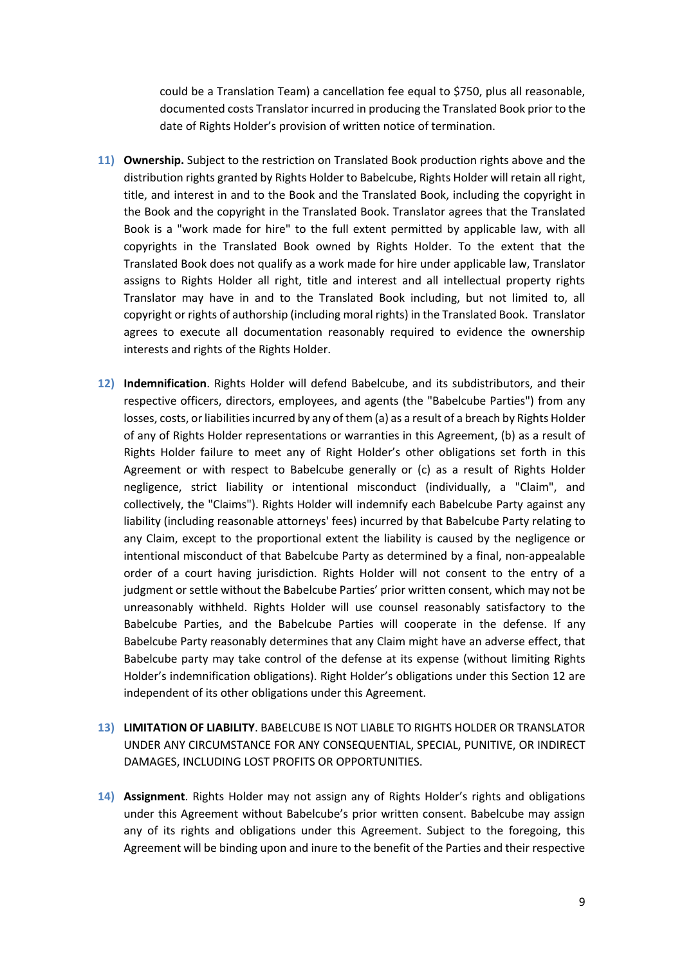could be a Translation Team) a cancellation fee equal to \$750, plus all reasonable, documented costs Translator incurred in producing the Translated Book prior to the date of Rights Holder's provision of written notice of termination.

- **11) Ownership.** Subject to the restriction on Translated Book production rights above and the distribution rights granted by Rights Holder to Babelcube, Rights Holder will retain all right, title, and interest in and to the Book and the Translated Book, including the copyright in the Book and the copyright in the Translated Book. Translator agrees that the Translated Book is a "work made for hire" to the full extent permitted by applicable law, with all copyrights in the Translated Book owned by Rights Holder. To the extent that the Translated Book does not qualify as a work made for hire under applicable law, Translator assigns to Rights Holder all right, title and interest and all intellectual property rights Translator may have in and to the Translated Book including, but not limited to, all copyright or rights of authorship (including moral rights) in the Translated Book. Translator agrees to execute all documentation reasonably required to evidence the ownership interests and rights of the Rights Holder.
- **12) Indemnification**. Rights Holder will defend Babelcube, and its subdistributors, and their respective officers, directors, employees, and agents (the "Babelcube Parties") from any losses, costs, or liabilities incurred by any of them (a) as a result of a breach by Rights Holder of any of Rights Holder representations or warranties in this Agreement, (b) as a result of Rights Holder failure to meet any of Right Holder's other obligations set forth in this Agreement or with respect to Babelcube generally or (c) as a result of Rights Holder negligence, strict liability or intentional misconduct (individually, a "Claim", and collectively, the "Claims"). Rights Holder will indemnify each Babelcube Party against any liability (including reasonable attorneys' fees) incurred by that Babelcube Party relating to any Claim, except to the proportional extent the liability is caused by the negligence or intentional misconduct of that Babelcube Party as determined by a final, non-appealable order of a court having jurisdiction. Rights Holder will not consent to the entry of a judgment or settle without the Babelcube Parties' prior written consent, which may not be unreasonably withheld. Rights Holder will use counsel reasonably satisfactory to the Babelcube Parties, and the Babelcube Parties will cooperate in the defense. If any Babelcube Party reasonably determines that any Claim might have an adverse effect, that Babelcube party may take control of the defense at its expense (without limiting Rights Holder's indemnification obligations). Right Holder's obligations under this Section 12 are independent of its other obligations under this Agreement.
- **13) LIMITATION OF LIABILITY**. BABELCUBE IS NOT LIABLE TO RIGHTS HOLDER OR TRANSLATOR UNDER ANY CIRCUMSTANCE FOR ANY CONSEQUENTIAL, SPECIAL, PUNITIVE, OR INDIRECT DAMAGES, INCLUDING LOST PROFITS OR OPPORTUNITIES.
- **14) Assignment**. Rights Holder may not assign any of Rights Holder's rights and obligations under this Agreement without Babelcube's prior written consent. Babelcube may assign any of its rights and obligations under this Agreement. Subject to the foregoing, this Agreement will be binding upon and inure to the benefit of the Parties and their respective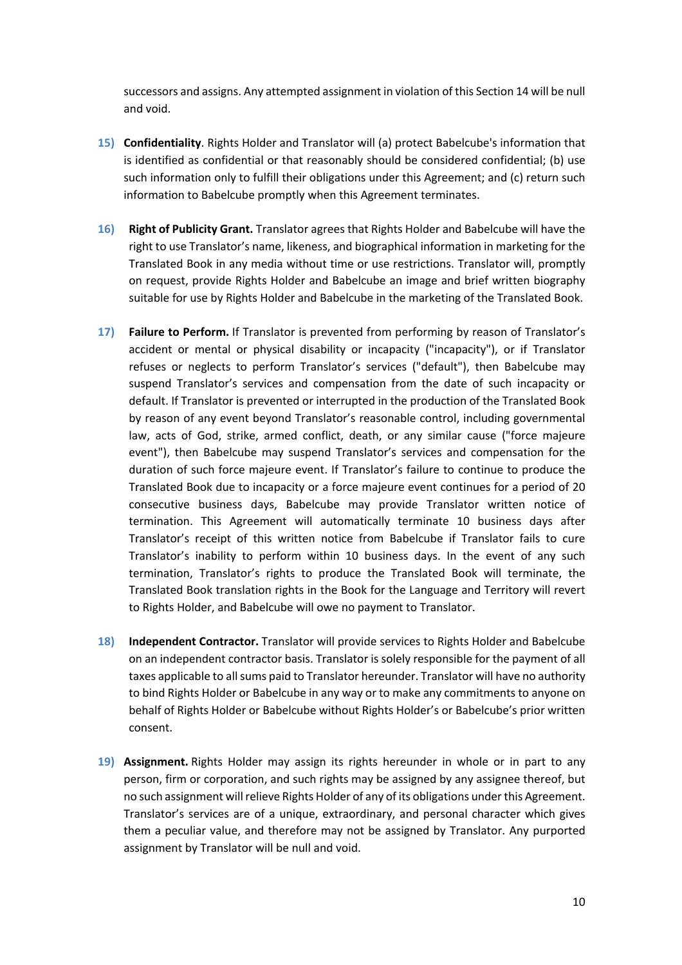successors and assigns. Any attempted assignment in violation of this Section 14 will be null and void.

- **15) Confidentiality**. Rights Holder and Translator will (a) protect Babelcube's information that is identified as confidential or that reasonably should be considered confidential; (b) use such information only to fulfill their obligations under this Agreement; and (c) return such information to Babelcube promptly when this Agreement terminates.
- **16) Right of Publicity Grant.** Translator agrees that Rights Holder and Babelcube will have the right to use Translator's name, likeness, and biographical information in marketing for the Translated Book in any media without time or use restrictions. Translator will, promptly on request, provide Rights Holder and Babelcube an image and brief written biography suitable for use by Rights Holder and Babelcube in the marketing of the Translated Book.
- **17) Failure to Perform.** If Translator is prevented from performing by reason of Translator's accident or mental or physical disability or incapacity ("incapacity"), or if Translator refuses or neglects to perform Translator's services ("default"), then Babelcube may suspend Translator's services and compensation from the date of such incapacity or default. If Translator is prevented or interrupted in the production of the Translated Book by reason of any event beyond Translator's reasonable control, including governmental law, acts of God, strike, armed conflict, death, or any similar cause ("force majeure event"), then Babelcube may suspend Translator's services and compensation for the duration of such force majeure event. If Translator's failure to continue to produce the Translated Book due to incapacity or a force majeure event continues for a period of 20 consecutive business days, Babelcube may provide Translator written notice of termination. This Agreement will automatically terminate 10 business days after Translator's receipt of this written notice from Babelcube if Translator fails to cure Translator's inability to perform within 10 business days. In the event of any such termination, Translator's rights to produce the Translated Book will terminate, the Translated Book translation rights in the Book for the Language and Territory will revert to Rights Holder, and Babelcube will owe no payment to Translator.
- **18) Independent Contractor.** Translator will provide services to Rights Holder and Babelcube on an independent contractor basis. Translator is solely responsible for the payment of all taxes applicable to all sums paid to Translator hereunder. Translator will have no authority to bind Rights Holder or Babelcube in any way or to make any commitments to anyone on behalf of Rights Holder or Babelcube without Rights Holder's or Babelcube's prior written consent.
- **19) Assignment.** Rights Holder may assign its rights hereunder in whole or in part to any person, firm or corporation, and such rights may be assigned by any assignee thereof, but no such assignment will relieve Rights Holder of any of its obligations under this Agreement. Translator's services are of a unique, extraordinary, and personal character which gives them a peculiar value, and therefore may not be assigned by Translator. Any purported assignment by Translator will be null and void.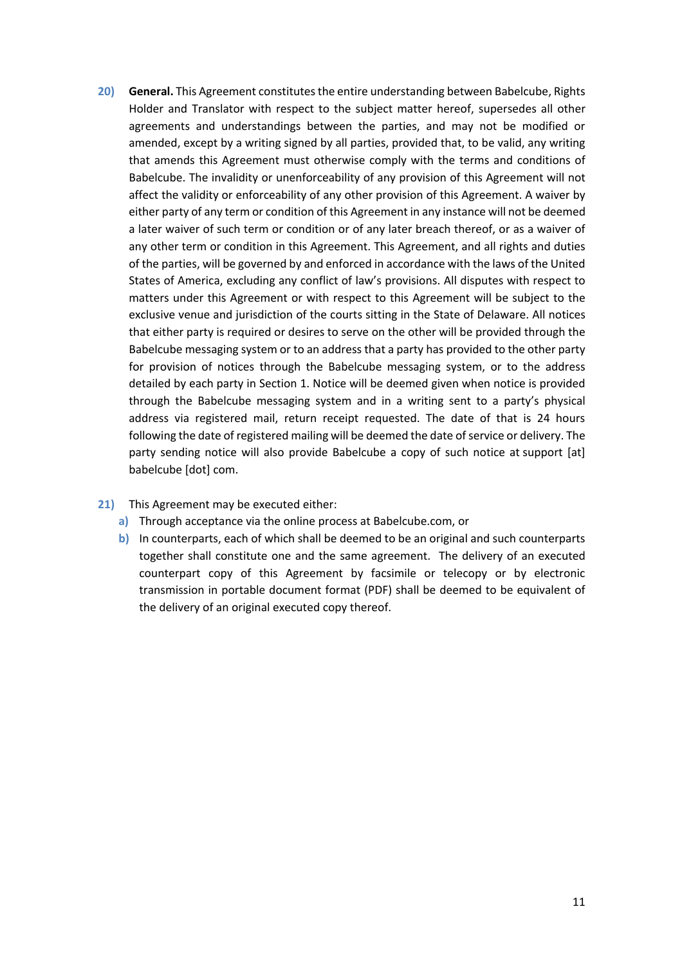- **20) General.** This Agreement constitutes the entire understanding between Babelcube, Rights Holder and Translator with respect to the subject matter hereof, supersedes all other agreements and understandings between the parties, and may not be modified or amended, except by a writing signed by all parties, provided that, to be valid, any writing that amends this Agreement must otherwise comply with the terms and conditions of Babelcube. The invalidity or unenforceability of any provision of this Agreement will not affect the validity or enforceability of any other provision of this Agreement. A waiver by either party of any term or condition of this Agreement in any instance will not be deemed a later waiver of such term or condition or of any later breach thereof, or as a waiver of any other term or condition in this Agreement. This Agreement, and all rights and duties of the parties, will be governed by and enforced in accordance with the laws of the United States of America, excluding any conflict of law's provisions. All disputes with respect to matters under this Agreement or with respect to this Agreement will be subject to the exclusive venue and jurisdiction of the courts sitting in the State of Delaware. All notices that either party is required or desires to serve on the other will be provided through the Babelcube messaging system or to an address that a party has provided to the other party for provision of notices through the Babelcube messaging system, or to the address detailed by each party in Section 1. Notice will be deemed given when notice is provided through the Babelcube messaging system and in a writing sent to a party's physical address via registered mail, return receipt requested. The date of that is 24 hours following the date of registered mailing will be deemed the date of service or delivery. The party sending notice will also provide Babelcube a copy of such notice at support [at] babelcube [dot] com.
- **21)** This Agreement may be executed either:
	- **a)** Through acceptance via the online process at Babelcube.com, or
	- **b)** In counterparts, each of which shall be deemed to be an original and such counterparts together shall constitute one and the same agreement. The delivery of an executed counterpart copy of this Agreement by facsimile or telecopy or by electronic transmission in portable document format (PDF) shall be deemed to be equivalent of the delivery of an original executed copy thereof.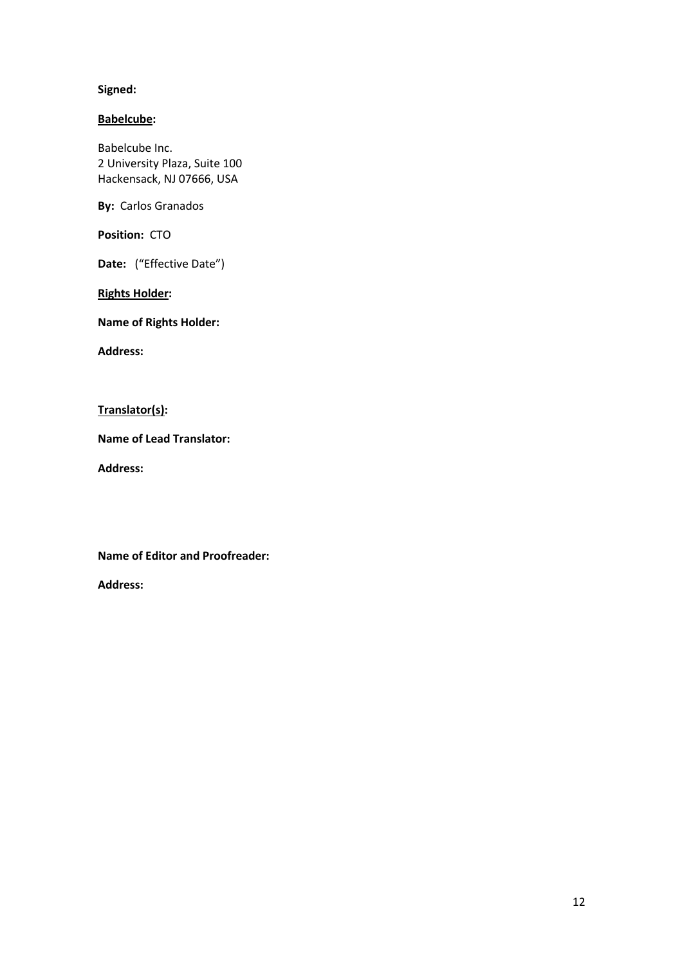# **Signed:**

# **Babelcube:**

Babelcube Inc. 2 University Plaza, Suite 100 Hackensack, NJ 07666, USA

**By:** Carlos Granados

**Position:** CTO

Date: ("Effective Date")

**Rights Holder:**

**Name of Rights Holder:** 

**Address:** 

**Translator(s):**

**Name of Lead Translator:**

**Address:** 

**Name of Editor and Proofreader:** 

**Address:**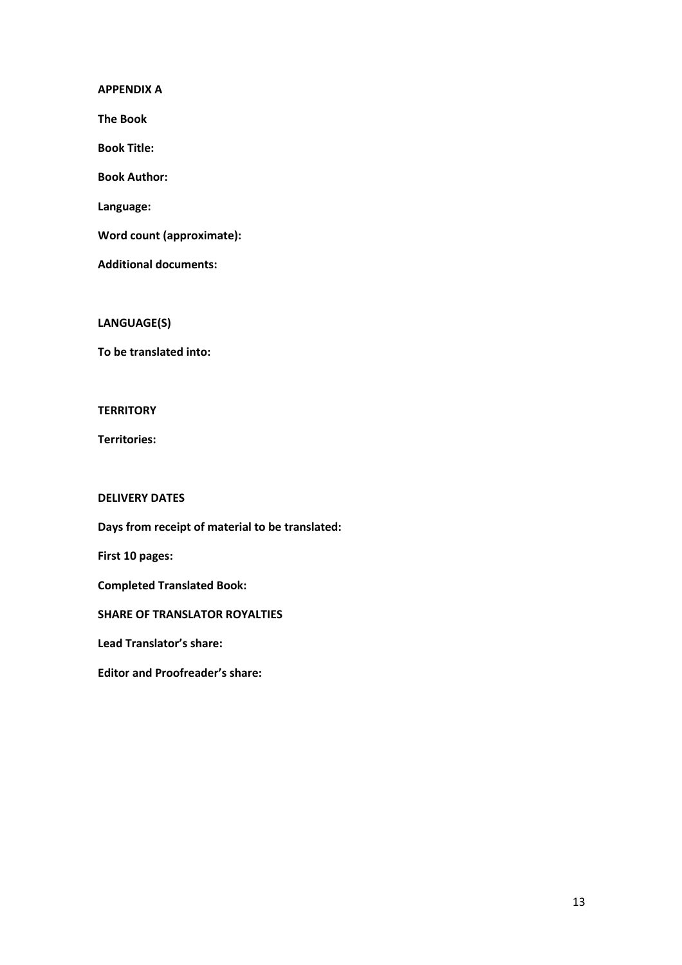**APPENDIX A**

**The Book**

**Book Title:** 

**Book Author:**

**Language:** 

**Word count (approximate):** 

**Additional documents:**

**LANGUAGE(S)**

**To be translated into:**

### **TERRITORY**

**Territories:**

# **DELIVERY DATES**

**Days from receipt of material to be translated:**

**First 10 pages:**

**Completed Translated Book:** 

**SHARE OF TRANSLATOR ROYALTIES**

**Lead Translator's share:** 

**Editor and Proofreader's share:**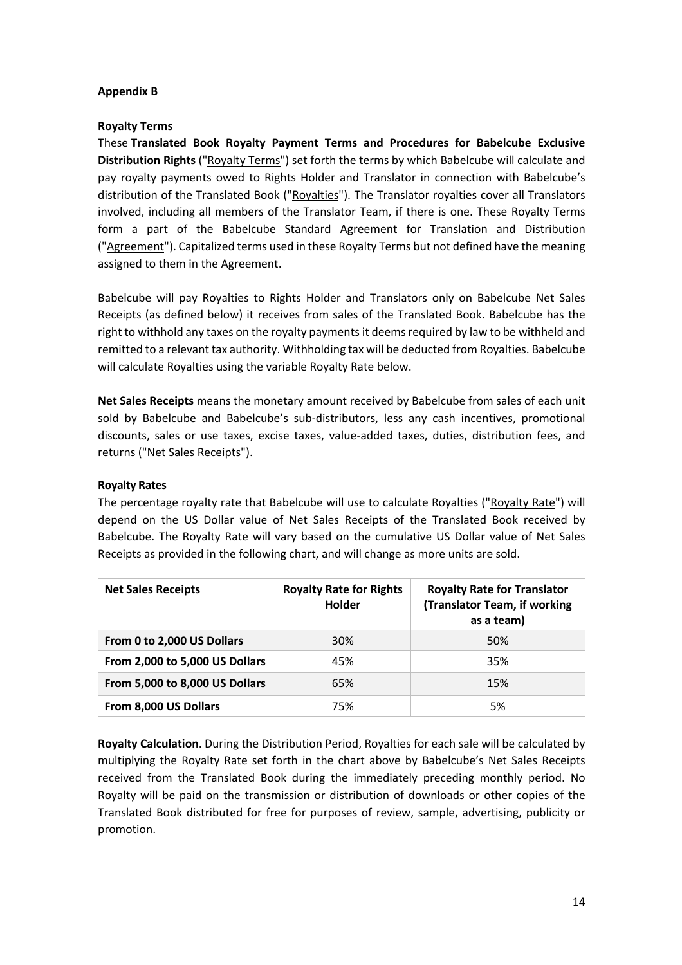# **Appendix B**

# **Royalty Terms**

These **Translated Book Royalty Payment Terms and Procedures for Babelcube Exclusive Distribution Rights** ("Royalty Terms") set forth the terms by which Babelcube will calculate and pay royalty payments owed to Rights Holder and Translator in connection with Babelcube's distribution of the Translated Book ("Royalties"). The Translator royalties cover all Translators involved, including all members of the Translator Team, if there is one. These Royalty Terms form a part of the Babelcube Standard Agreement for Translation and Distribution ("Agreement"). Capitalized terms used in these Royalty Terms but not defined have the meaning assigned to them in the Agreement.

Babelcube will pay Royalties to Rights Holder and Translators only on Babelcube Net Sales Receipts (as defined below) it receives from sales of the Translated Book. Babelcube has the right to withhold any taxes on the royalty payments it deems required by law to be withheld and remitted to a relevant tax authority. Withholding tax will be deducted from Royalties. Babelcube will calculate Royalties using the variable Royalty Rate below.

**Net Sales Receipts** means the monetary amount received by Babelcube from sales of each unit sold by Babelcube and Babelcube's sub-distributors, less any cash incentives, promotional discounts, sales or use taxes, excise taxes, value-added taxes, duties, distribution fees, and returns ("Net Sales Receipts").

# **Royalty Rates**

The percentage royalty rate that Babelcube will use to calculate Royalties ("Royalty Rate") will depend on the US Dollar value of Net Sales Receipts of the Translated Book received by Babelcube. The Royalty Rate will vary based on the cumulative US Dollar value of Net Sales Receipts as provided in the following chart, and will change as more units are sold.

| <b>Net Sales Receipts</b>      | <b>Royalty Rate for Rights</b><br>Holder | <b>Royalty Rate for Translator</b><br>(Translator Team, if working<br>as a team) |
|--------------------------------|------------------------------------------|----------------------------------------------------------------------------------|
| From 0 to 2,000 US Dollars     | <b>30%</b>                               | 50%                                                                              |
| From 2,000 to 5,000 US Dollars | 45%                                      | 35%                                                                              |
| From 5,000 to 8,000 US Dollars | 65%                                      | 15%                                                                              |
| From 8,000 US Dollars          | 75%                                      | 5%                                                                               |

**Royalty Calculation**. During the Distribution Period, Royalties for each sale will be calculated by multiplying the Royalty Rate set forth in the chart above by Babelcube's Net Sales Receipts received from the Translated Book during the immediately preceding monthly period. No Royalty will be paid on the transmission or distribution of downloads or other copies of the Translated Book distributed for free for purposes of review, sample, advertising, publicity or promotion.